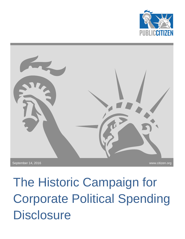



The Historic Campaign for Corporate Political Spending **Disclosure**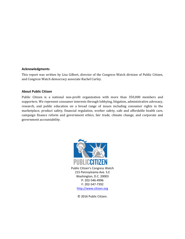#### **Acknowledgments**

This report was written by Lisa Gilbert, director of the Congress Watch division of Public Citizen, and Congress Watch democracy associate Rachel Curley.

#### **About Public Citizen**

Public Citizen is a national non-profit organization with more than 350,000 members and supporters. We represent consumer interests through lobbying, litigation, administrative advocacy, research, and public education on a broad range of issues including consumer rights in the marketplace, product safety, financial regulation, worker safety, safe and affordable health care, campaign finance reform and government ethics, fair trade, climate change, and corporate and government accountability.



© 2016 Public Citizen.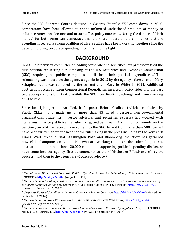Since the U.S. Supreme Court's decision in *Citizens United v. FEC* came down in 2010, corporations have been allowed to spend unlimited undisclosed amounts of money to influence American elections and in turn affect policy outcomes. Noting the danger of "dark money" for both American democracy and the shareholders of the companies that are spending in secret, a strong coalition of diverse allies have been working together since the decision to bring corporate spending in politics into the light.

# **BACKGROUND**

In 2011 a bipartisan committee of leading corporate and securities law professors filed the first petition requesting a rulemaking at the U.S. Securities and Exchange Commission (SEC) requiring all public companies to disclose their political expenditures.<sup>1</sup> This rulemaking was placed on the agency's agenda in 2013 by the agency's former chair Mary Schapiro, but it was removed by the current chair Mary Jo White in 2014. Additional obstruction occurred when Congressional Republicans inserted a policy rider into the past two appropriations bills that prohibits the SEC from finalizing--though not from working on--the rule.

Since the original petition was filed, the Corporate Reform Coalition (which is co-chaired by Public Citizen, and made up of more than 85 allied investors, non-governmental organizations, academics, investor advisors, and securities experts) has worked with numerous allies to publicize the rulemaking, and as a result 1.2 million comments on the petition<sup>2</sup>, an all-time record, have come into the SEC. In addition, more than 500 stories<sup>3</sup> have been written about the need for the rulemaking in the press including in the New York Times, Wall Street Journal, Washington Post, and Bloomberg; the effort has garnered powerful champions on Capitol Hill who are working to ensure the rulemaking is not obstructed; and an additional 20,000 comments supporting political spending disclosure have come into the agency, first as comments to their "Disclosure Effectiveness" review process,<sup>4</sup> and then to the agency's S-K concept release.<sup>5</sup>

<sup>1</sup> *Committee on Disclosure of Corporate Political Spending Petition for Rulemaking*, U.S. SECURITIES AND EXCHANGE COMMISSION, <http://bit.ly/2ctSUiS> (August 3, 2011).

<sup>2</sup> *Comments on Rulemaking Petition: Petition to require public companies to disclose to shareholders the use of corporate resources for political activities*, U.S. SECURITIES AND EXCHANGE COMMISSION, <http://bit.ly/2cGUr9G> (viewed on September 7, 2016).

<sup>3</sup> *Corporate Political Spending in the News*, CORPORATE REFORM COALITION[, http://bit.ly/2bWOOmK](http://bit.ly/2bWOOmK) (viewed on September 8, 2016).

<sup>4</sup> *Comments on Disclosure Effectiveness,* U.S. SECURITIES AND EXCHANGE COMMISSION,<http://bit.ly/2cebA8x> (viewed on September 7, 2016).

<sup>5</sup> *Comments on Concept Release: Business and Financial Disclosure Required by Regulation S-K*, U.S. SECURITIES AND EXCHANGE COMMISSION[, http://bit.ly/2cgsuTZ](http://bit.ly/2cgsuTZ) (viewed on September 8, 2016).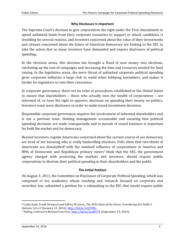## **Why Disclosure Is Important**

The Supreme Court's decision to give corporations the right under the First Amendment to spend unlimited funds from their corporate treasuries to support or attack candidates is troubling for several reasons, and investors concerned about the value of their investments and citizens concerned about the future of American democracy are looking to the SEC to take the action that so many investors have demanded and require disclosure of political spending.

In the electoral arena, this decision has brought a flood of new money into elections, ratcheting up the cost of campaigns and increasing the time and resources needed for fund raising. In the legislative arena, the mere threat of unlimited corporate political spending gives corporate lobbyists a large club to wield when lobbying lawmakers, and makes it harder for legislators to vote their conscience.

In corporate governance, there are no rules or procedures established in the United States to ensure that shareholders – those who actually own the wealth of corporations – are informed of, or have the right to approve, decisions on spending their money on politics. Investors want more disclosure in order to make sound investment decisions.

Responsible corporate governance requires the involvement of informed shareholders and is not a partisan issue. Holding management accountable and ensuring that political spending decisions are made transparently and in pursuit of sound business is important for both the market and for democracy.

Beyond investors, regular Americans concerned about the current course of our democracy are tired of not knowing who is really bankrolling elections. Polls show that two-thirds of Americans are dissatisfied<sup>6</sup> with the outsized influence of corporations in America and 88% of Democratic and Republican primary voters<sup>7</sup> think that the SEC, the government agency charged with protecting the markets and investors, should require public corporations to disclose their political spending to their shareholders and the public.

## **The Initial Petition**

On August 3, 2011, the Committee on Disclosure of Corporate Political Spending, which was composed of ten academics whose teaching and research focused on corporate and securities law, submitted a petition for a rulemaking to the SEC that would require public

<sup>6</sup> Lydia Saad, Frank Newport and Jeffrey M. Jones, *The 2016 State of the Union: Considering the Public's Opinion, GALLUP* (January 15, 2016), [http://bit.ly/2cGTIWc.](http://bit.ly/2cGTIWc)

<sup>7</sup> *Polling*, CORPORATE REFORM COALITION[, http://bit.ly/2cpHY75](http://bit.ly/2cpHY75) (September 23, 2015).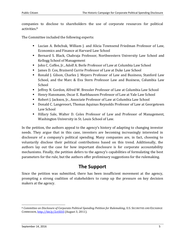companies to disclose to shareholders the use of corporate resources for political activities.<sup>8</sup>

The Committee included the following experts:

- Lucian A. Bebchuk, William J. and Alicia Townsend Friedman Professor of Law, Economics and Finance at Harvard Law School
- Bernard S. Black, Chabraja Professor, Northwestern University Law School and Kellogg School of Management
- John C. Coffee, Jr., Adolf A. Berle Professor of Law at Columbia Law School
- James D. Cox, Brainerd Currie Professor of Law at Duke Law School
- Ronald J. Gilson, Charles J. Meyers Professor of Law and Business, Stanford Law School, and the Marc & Eva Stern Professor Law and Business, Columbia Law School
- Jeffrey N. Gordon, Alfred W. Bressler Professor of Law at Columbia Law School
- Henry Hansmann, Oscar E. Ruebhausen Professor of Law at Yale Law School
- Robert J. Jackson, Jr., Associate Professor of Law at Columbia Law School
- Donald C. Langevoort, Thomas Aquinas Reynolds Professor of Law at Georgetown Law School
- Hillary Sale, Walter D. Coles Professor of Law and Professor of Management, Washington University in St. Louis School of Law.

In the petition, the authors appeal to the agency's history of adapting to changing investor needs. They argue that in this case, investors are becoming increasingly interested in disclosure of a company's political spending. Many companies are, in fact, choosing to voluntarily disclose their political contributions based on this trend. Additionally, the authors lay out the case for how important disclosure is for corporate accountability mechanisms. Finally, the petition defers to the agency's capabilities of formulating the best parameters for the rule, but the authors offer preliminary suggestions for the rulemaking.

# **The Support**

Since the petition was submitted, there has been insufficient movement at the agency, prompting a strong coalition of stakeholders to ramp up the pressure on key decision makers at the agency.

 $\overline{a}$ 

<sup>8</sup> *Committee on Disclosure of Corporate Political Spending Petition for Rulemaking*, U.S. SECURITIES AND EXCHANGE COMMISSION,<http://bit.ly/2ctSUiS> (August 3, 2011).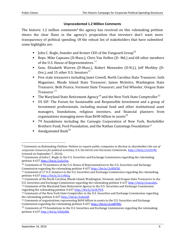## **Unprecedented 1.2 Million Comments**

The historic 1.2 million comments<sup>9</sup> the agency has received on this rulemaking petition shows the clear flaws in the agency's proposition that investors don't want more transparency of political spending. Of the robust list of stakeholders that have submitted some highlights are:

- **John C. Bogle, founder and former CEO of the Vanguard Group**<sup>10</sup>
- Reps. Mike Capuano (D-Mass.), Chris Van Hollen (D- Md.) and 68 other members of the U.S. House of Representatives  $<sup>11</sup>$ </sup>
- Sens. Elizabeth Warren (D-Mass.), Robert Menendez (D-N.J.), Jeff Merkley (D-Ore.), and 15 other U.S. Senators $^{12}$
- Five state treasurers including Janet Cowell, North Carolina State Treasurer; Seth Magaziner, Rhode Island State Treasurer; James McIntire, Washington State Treasurer, Beth Pearce, Vermont State Treasurer; and Ted Wheeler, Oregon State Treasurer <sup>13</sup>
- The Maryland State Retirement Agency<sup>14</sup> and the New York State Comptroller<sup>15</sup>
- US SIF: The Forum for Sustainable and Responsible Investment and a group of Investment professionals, including mutual fund and other institutional asset managers, foundations, religious investors, and financial planners from organizations managing more than \$690 billion in assets<sup>16</sup>
- 79 foundations including the Carnegie Corporation of New York, Rockefeller Brothers Fund, Ford Foundation, and the Nathan Cummings Foundation<sup>17</sup>
- Amalgamated Bank<sup>18</sup>

l

<sup>9</sup> *Comments on Rulemaking Petition: Petition to require public companies to disclose to shareholders the use of corporate resources for political activities*, U.S. SECURITIES AND EXCHANGE COMMISSION, <http://bit.ly/2cGUr9G> (viewed on September 7, 2016).

<sup>10</sup> Comments of John C. Bogle to the U.S. Securities and Exchange Commission regarding the rulemaking petition 4-63[7 http://bit.ly/2cGv5rs.](http://bit.ly/2cGv5rs)

<sup>11</sup> Comments of 70 members of the U.S. House of Representatives to the U.S. Securities and Exchange Commission regarding the rulemaking petition 4-63[7 http://bit.ly/2c8XK5K.](http://bit.ly/2c8XK5K)

<sup>12</sup> Comments of 17 U.S. Senators to the U.S. Securities and Exchange Commission regarding the rulemaking petition 4-63[7 http://bit.ly/2c1vHGq.](http://bit.ly/2c1vHGq)

<sup>13</sup> Comments of the North Carolina, Rhode Island, Washington, Vermont, and Oregon State Treasurers to the U.S. Securities and Exchange Commission regarding the rulemaking petition 4-63[7 http://bit.ly/2cmcdyG.](http://bit.ly/2cmcdyG)

<sup>14</sup> Comments of the Maryland State Retirement Agency to the U.S. Securities and Exchange Commission regarding the rulemaking petition 4-63[7 http://bit.ly/2cGC9V4.](http://bit.ly/2cGC9V4)

<sup>15</sup> Comments of the New York State Comptroller to the U.S. Securities and Exchange Commission regarding the rulemaking petition 4-63[7 http://bit.ly/2cdnaQf.](http://bit.ly/2cdnaQf) 

<sup>16</sup> Comments of organizations representing \$690 billion in assets to the U.S. Securities and Exchange Commission regarding the rulemaking petition 4-63[7 http://bit.ly/2cm8FMG.](http://bit.ly/2cm8FMG)

 $17$  Comments of 79 foundations to the U.S. Securities and Exchange Commission regarding the rulemaking petition 4-637 [http://bit.ly/2bZjsMk.](http://bit.ly/2bZjsMk)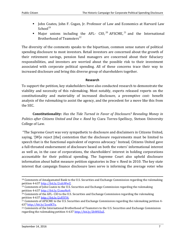- John Coates, John F. Cogan, Jr. Professor of Law and Economics at Harvard Law  $School<sup>19</sup>$
- Major unions including the AFL- CIO,  $^{20}$  AFSCME,  $^{21}$  and the International Brotherhood of Teamsters $^{22}$

The diversity of the comments speaks to the bipartisan, common sense nature of political spending disclosure to most investors. Retail investors are concerned about the growth of their retirement savings, pension fund managers are concerned about their fiduciary responsibilities, and investors are worried about the possible risk to their investment associated with corporate political spending. All of these concerns trace their way to increased disclosure and bring this diverse group of shareholders together.

## **Research**

To support the petition, key stakeholders have also conducted research to demonstrate the viability and necessity of this rulemaking. Most notably, experts released reports on the constitutionality and materiality of increased disclosure, a preemptive cost- benefit analysis of the rulemaking to assist the agency, and the precedent for a move like this from the SEC.

**Constitutionality:** *Has the Tide Turned in Favor of Disclosure? Revealing Money in Politics after Citizens United and Doe v. Reed* by Ciara Torres-Spelliscy, Stetson University College of Law.

"The Supreme Court was very sympathetic to disclosure and disclaimers in Citizens United, saying, '[W]e reject [the] contention that the disclosure requirements must be limited to speech that is the functional equivalent of express advocacy.' Instead, Citizens United gave a full-throated endorsement of disclosure based on both the voters' informational interest as well as, in the case of corporations, the shareholders' interest in holding corporations accountable for their political spending. The Supreme Court also upheld disclosure information about ballot measure petition signatories in Doe v. Reed in 2010. The key state interest that campaign finance disclosure laws serve is informing the average voter who

l

<sup>18</sup> Comments of Amalgamated Bank to the U.S. Securities and Exchange Commission regarding the rulemaking petition 4-63[7 http://bit.ly/2cdcWwZ.](http://bit.ly/2cdcWwZ)

 $19$  Comments of John Coates to the U.S. Securities and Exchange Commission regarding the rulemaking petition 4-63[7 http://bit.ly/2cmeNo9.](http://bit.ly/2cmeNo9)

<sup>20</sup> Comments of the AFL- CIO to the U.S. Securities and Exchange Commission regarding the rulemaking petition 4-63[7 http://bit.ly/2cFJYY4.](http://bit.ly/2cFJYY4)

<sup>&</sup>lt;sup>21</sup> Comments of AFSCME to the U.S. Securities and Exchange Commission regarding the rulemaking petition 4-637 [http://bit.ly/2codKTu.](http://bit.ly/2codKTu)

<sup>&</sup>lt;sup>22</sup> Comments of the International Brotherhood of Teamsters to the U.S. Securities and Exchange Commission regarding the rulemaking petition 4-63[7 http://bit.ly/2bW0ZuZ.](http://bit.ly/2bW0ZuZ)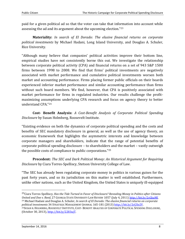paid for a given political ad so that the voter can take that information into account while assessing the ad and its argument about the upcoming election."<sup>23</sup>

**Materiality:** *In search of El Dorado: The elusive financial returns on corporate political investments* by Michael Hadani, Long Island University, and Douglas A. Schuler, Rice University.

"Although many believe that companies' political activities improve their bottom line, empirical studies have not consistently borne this out. We investigate the relationship between corporate political activity (CPA) and financial returns on a set of 943 S&P 1500 firms between 1998 to 2008. We find that firms' political investments are negatively associated with market performance and cumulative political investments worsen both market and accounting performance. Firms placing former public officials on their boards experienced inferior market performance and similar accounting performance than firms without such board members. We find, however, that CPA is positively associated with market performance for firms in regulated industries. Our results challenge the profitmaximizing assumptions underlying CPA research and focus on agency theory to better understand CPA."<sup>24</sup>

**Cost- Benefit Analysis:** *A Cost-Benefit Analysis of Corporate Political Spending Disclosure* by Susan Holmberg, Roosevelt Institute.

"Existing evidence on both the dynamics of corporate political spending and the costs and benefits of SEC mandatory disclosure in general, as well as the use of agency theory, an economic framework that highlights the asymmetric interests and knowledge between corporate managers and shareholders, indicate that the range of potential benefits of corporate political spending disclosure – to shareholders and the market – vastly outweigh the possible costs of compliance to public corporations."<sup>25</sup>

**Precedent:** *The SEC and Dark Political Money: An Historical Argument for Requiring Disclosure* by Ciara Torres-Spelliscy, Stetson University College of Law.

"The SEC has already been regulating corporate money in politics in various guises for the past forty years, and so its jurisdiction on this matter is well established. Furthermore, unlike other nations, such as the United Kingdom, the United States is uniquely ill-equipped

23Ciara Torres-Spelliscy, *Has the Tide Turned in Favor of Disclosure? Revealing Money in Politics after Citizens United and Doe v. Reed,* 27 GEORGIA STATE UNIVERSITY LAW REVIEW 1057 (July 4, 2011) [http://bit.ly/2cGkaMf.](http://bit.ly/2cGkaMf) <sup>24</sup> Michael Hadani and Douglas A. Schuler, *In search of El Dorado: The elusive financial returns on corporate* 

*political investments* 34 STRATEGIC MANAGEMENT JOURNAL 165-181 (2013[\) http://bit.ly/2cGXe2V.](http://bit.ly/2cGXe2V)

<sup>25</sup>SUSAN R.HOLMBERG, ROOSEVELT INSTITUTE, COST- BENEFIT ANALYSIS OF CORPORATE POLITICAL SPENDING DISCLOSURE, (October 30, 2013)[, http://bit.ly/2283ujT.](http://bit.ly/2283ujT)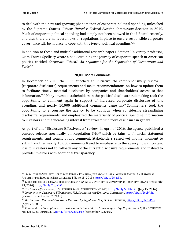to deal with the new and growing phenomenon of corporate political spending, unleashed by the Supreme Court's *Citizens United v. Federal Election Commission* decision in 2010. Much of corporate political spending had simply not been allowed in the US until recently, and thus there are no federal laws or regulations in place to ensure responsible corporate governance will be in place to cope with this type of political spending."<sup>26</sup>

In addition to these and multiple additional research papers, Stetson University professor, Ciara Torres-Spelliscy wrote a book outlining the journey of corporate speech in American politics entitled *Corporate Citizen?: An Argument for the Separation of Corporation and State*. 27

# **20,000 More Comments**

In December of 2013 the SEC launched an initiative "to comprehensively review … [corporate disclosure] requirements and make recommendations on how to update them to facilitate timely, material disclosure by companies and shareholders' access to that information."<sup>28</sup> Many invested stakeholders in the political disclosure rulemaking took the opportunity to comment again in support of increased corporate disclosure of this spending, and nearly 10,000 additional comments came in. <sup>29</sup> Commenters took the opportunity to encourage the agency to be cautious when considering streamlining disclosure requirements, and emphasized the materiality of political spending information to investors and the increasing interest from investors in more disclosure in general.

As part of this "Disclosure Effectiveness" review, in April of 2016, the agency published a concept release specifically on Regulation S-K,<sup>30</sup> which pertains to financial statement requirements, and sought public comment. Stakeholders seized yet another moment to submit another nearly 10,000 comments<sup>31</sup> and to emphasize to the agency how important it is to investors not to rollback any of the current disclosure requirements and instead to provide investors with additional transparency.

l <sup>26</sup> CIARA TORRES-SPELLISCY, CORPORATE REFORM COALITION, THE SEC AND DARK POLITICAL MONEY: AN HISTORICAL ARGUMENT FOR REQUIRING DISCLOSURE, at 4 (June 18, 2013) [http://bit.ly/2cljzBh.](http://bit.ly/2cljzBh)

<sup>&</sup>lt;sup>27</sup> CIARA TORRES-SPELLISCY, CORPORATE CITIZEN?: AN ARGUMENT FOR THE SEPARATION OF CORPORATION AND STATE (July 25, 2016) <http://bit.ly/2cqYIfO>.

<sup>28</sup> *Disclosure Effectiveness*, U.S. SECURITIES AND EXCHANGE COMMISSION[, http://bit.ly/2bUMr2L](http://bit.ly/2bUMr2L) (July 15, 2016). <sup>29</sup> *Comments on Disclosure Effectiveness,* U.S. SECURITIES AND EXCHANGE COMMISSION[, http://bit.ly/2cebA8x](http://bit.ly/2cebA8x)

<sup>(</sup>viewed on September 7, 2016).

<sup>30</sup> *Business and Financial Disclosure Required by Regulation S-K*, FEDERAL REGISTER, <http://bit.ly/2cGkPgy> (April 22, 2016).

<sup>31</sup> *Comments on Concept Release: Business and Financial Disclosure Required by Regulation S-K,* U.S. SECURITIES AND EXCHANGE COMMISSION, [HTTP](http://bit.ly/2cgsuTZ)://BIT.LY/2CGSUTZ (September 1, 2016).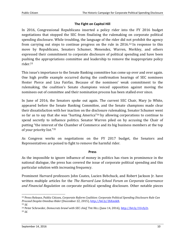# **The Fight on Capitol Hill**

In 2016, Congressional Republicans inserted a policy rider into the FY 2016 budget negotiations that stopped the SEC from finalizing the rulemaking on corporate political spending disclosure. While troubling, the language of the rider did not prohibit the agency from carrying out steps to continue progress on the rule in 2016.<sup>32</sup> In response to this move by Republicans, Senators Schumer, Menendez, Warren, Merkley, and others expressed their commitment to corporate disclosure of political spending and have been pushing the appropriations committee and leadership to remove the inappropriate policy rider.<sup>33</sup>

This issue's importance to the Senate Banking committee has come up over and over again. One high profile example occurred during the confirmation hearings of SEC nominees Hester Pierce and Lisa Fairfax. Because of the nominees' weak commitment to the rulemaking, the coalition's Senate champions voiced opposition against moving the nominees out of committee and their nomination process has been stalled ever since.

In June of 2016, the Senators spoke out again. The current SEC Chair, Mary Jo White, appeared before the Senate Banking Committee, and the Senate champions made clear their dissatisfaction with her inaction on the disclosure rulemaking. Senator Schumer went so far as to say that she was "hurting America"<sup>34</sup> by allowing corporations to continue to spend secretly to influence politics. Senator Warren piled on by accusing the Chair of putting "the interest of the Chamber of Commerce and its big business members at the top of your priority list."<sup>35</sup>

As Congress works on negotiations on the FY 2017 budget, the Senators and Representatives are poised to fight to remove the harmful rider.

#### **Press**

As the impossible to ignore influence of money in politics has risen in prominence in the national dialogue, the press has covered the issue of corporate political spending and this particular solution with increasing frequency.

Prominent Harvard professors John Coates, Lucien Bebchuck, and Robert Jackson Jr. have written multiple articles for the *The Harvard Law School Forum on Corporate Governance and Financial Regulation* on corporate political spending disclosure. Other notable pieces

<sup>32</sup> Press Release, Public Citizen, *Corporate Reform Coalition: Corporate Political Spending Disclosure Rule Can Proceed Despite Omnibus Rider* (December 22, 2015), [http://bit.ly/2bXmikR.](http://bit.ly/2bXmikR) <sup>33</sup> *Id.*

<sup>34</sup> Peter Schroeder, *Democrats brawl with SEC chief,* THE HILL (June 14, 2016), [http://bit.ly/1Ucfy2t.](http://bit.ly/1Ucfy2t) <sup>35</sup> *Id.*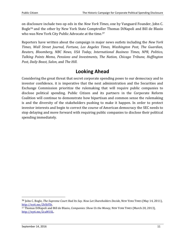on disclosure include two op eds in the *New York Times*, one by Vanguard Founder, John C. Bogle<sup>36</sup> and the other by New York State Comptroller Thomas DiNapoli and Bill de Blasio who was New York City Public Advocate at the time.<sup>37</sup>

Reporters have written about the campaign in major news outlets including the *New York Times, Wall Street Journal, Fortune, Los Angeles Times, Washington Post, The Guardian, Reuters, Bloomberg, NBC News, USA Today, International Business Times, NPR, Politico, Talking Points Memo, Pensions and Investments, The Nation, Chicago Tribune, Huffington Post, Daily Beast, Salon,* and *The Hill*.

# **Looking Ahead**

Considering the great threat that secret corporate spending poses to our democracy and to investor confidence, it is imperative that the next administration and the Securities and Exchange Commission prioritize the rulemaking that will require public companies to disclose political spending. Public Citizen and its partners in the Corporate Reform Coalition will continue to demonstrate how bipartisan and common sense the rulemaking is and the diversity of the stakeholders pushing to make it happen. In order to protect investor interests and begin to correct the course of American democracy the SEC needs to stop delaying and move forward with requiring public companies to disclose their political spending immediately.

36 John C. Bogle, *The Supreme Court Had Its Say. Now Let Shareholders Decide*, NEW YORK TIMES (May 14, 2011), [http://nyti.ms/2bXtf5h.](http://nyti.ms/2bXtf5h)

<sup>37</sup> Thomas DiNapoli and Bill de Blasio, *Companies: Show Us the Money,* NEW YORK TIMES (March 20, 2013), [http://nyti.ms/2caM1SL.](http://nyti.ms/2caM1SL)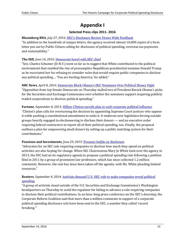# **Appendix I**

# **Selected Press clips 2011- 2016**

## **Bloomberg BNA**, *July 27, 2016*: [SEC's Disclosure Review Draws Wide Feedback](http://www.bna.com/secs-disclosure-review-n73014445333/)

"In addition to the hundreds of unique letters, the agency received almost 10,000 copies of a form letter put out by Public Citizen calling for disclosure of political spending, overseas tax payments and sustainability."

# **The Hill**, *June 14, 2016*: [Democrats brawl with SEC chief](http://thehill.com/policy/finance/283403-democrats-brawl-with-sec-chief-over-agencys-work)

"Sen. Charles Schumer (D-N.Y.) went so far as to suggest that White contributed to the political environment that enabled the rise of presumptive Republican presidential nominee Donald Trump as he excoriated her for refusing to consider rules that would require public companies to disclose any political spending…. 'You are hurting America,' he added."

## **NBC News**, *April 8, 2016*: [Democrats Block Obama's SEC Nominees Over Political Money Fight](http://www.nbcnews.com/news/us-news/democrats-block-obama-s-sec-nominees-over-political-money-fight-n552901)

"Opposition from top Senate Democrats on Thursday stalled two of President Barack Obama's picks for the Securities and Exchange Commission over whether the nominees support requiring publicly traded corporations to disclose political spending."

## **Fortune**, *September 8, 2015*: [Hillary Clinton unveils plan to curb corporate political influence](http://fortune.com/2015/09/08/hillary-to-curb-corporate-political-influence/)

"Clinton's plan calls for overturning the decision by appointing Supreme Court justices who oppose it while pushing a constitutional amendment to undo it. It endorses new legislation forcing outside groups heavily engaged in electioneering to disclose their donors — and an executive order requiring federal contractors to report all of their political spending, too. Finally, the proposal outlines a plan for empowering small donors by setting up a public matching system for their contributions."

## **Pensions and Investments**, *June 29, 2015*: [Pressure builds on disclosure](http://www.pionline.com/article/20150629/ONLINE/150629875/pressure-builds-on-disclosure)

"Advocates for an SEC rule requiring companies to disclose how much they spend on political activities are also hoping for change. When SEC Chairwoman Mary Jo White took over the agency in 2013, the SEC had on its regulatory agenda to propose a political spending rule following a petition filed in 2011 by a group of prominent law professors, which has since collected 1.2 million comments. However, the rule has since been taken off the agenda, with Ms. White pleading limited resources."

## **Reuters**, *September 4, 2014*: [Activists demand U.S. SEC rule to make companies reveal political](http://www.reuters.com/article/us-usa-election-sec-politicalspending-idUSKBN0GZ2JM20140904)  [spending](http://www.reuters.com/article/us-usa-election-sec-politicalspending-idUSKBN0GZ2JM20140904)

"A group of activists stood outside of the U.S. Securities and Exchange Commission's Washington headquarters on Thursday to scold the regulator for failing to advance a rule requiring companies to disclose their political contributions. In an hour-long press conference on the SEC's doorstep, the Corporate Reform Coalition said that more than a million comments in support of a corporate political spending disclosure rule have been sent to the SEC, a number they called 'record breaking.'"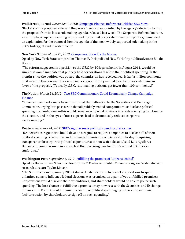#### **Wall Street Journal**, *December 3, 2013*: [Campaign-Finance Reformers Criticize SEC Move](http://blogs.wsj.com/washwire/2013/12/03/campaign-finance-reformers-criticize-sec-move/)

"Backers of the proposed rule said they were 'deeply disappointed' by the agency's decision to drop the proposal from its latest rulemaking agenda, released last week. The Corporate Reform Coalition, an umbrella group representing groups seeking to limit corporate influence in politics, demanded an explanation for the 'removal from its agenda of the most widely supported rulemaking in the SEC's history,' it said in a statement."

#### **New York Times**, *March 20, 2013*: [Companies: Show Us the Money](http://www.nytimes.com/2013/03/21/opinion/companies-show-us-the-money.html?_r=1)

Op ed by New York State comptroller Thomas P. DiNapoli and New York City public advocate Bill de Blasio

"The reform, suggested in a petition to the S.E.C. by 10 legal scholars in August 2011, would be simple: it would mandate that publicly held corporations disclose their political spending. In the months since the petition was posted, the commission has received nearly half a million comments on it — more than on any other issue in its 79-year history — that have been overwhelming in favor of the proposal. (Typically, S.E.C. rule-making petitions get fewer than 100 comments.)"

## **The Nation**, *March 26, 2012*: [Two SEC Commissioners Could Dramatically Change Campaign](https://www.thenation.com/article/two-sec-commissioners-could-dramatically-change-campaign-finance/)  [Finance](https://www.thenation.com/article/two-sec-commissioners-could-dramatically-change-campaign-finance/)

"Some campaign reformers have thus turned their attention to the Securities and Exchange Commission, urging it to pass a rule that all publicly traded companies must disclose political spending to shareholders—this would reveal exactly what business interests are trying to influence the election, and in the eyes of most experts, lead to dramatically reduced corporate electioneering."

#### **Reuters**, *February 24, 2012*: [SEC's Aguilar seeks political spending disclosures](http://www.reuters.com/article/sec-campaign-idUSW1E7N800420120224)

"U.S. securities regulators should develop a regime to require companies to disclose all of their political spending, a Securities and Exchange Commission official said on Friday. 'Requiring transparency for corporate political expenditures cannot wait a decade,' said Luis Aguilar, a Democratic commissioner, in a speech at the Practising Law Institute's annual SEC Speaks conference."

#### **Washington Post**, *September 6, 2011*: Ful[filling the promise of 'Citizens United'](https://www.washingtonpost.com/opinions/fulfilling-the-promise-of-citizens-united/2011/09/02/gIQAa4np7J_story.html?utm_term=.930ef0691530)

Op ed by Harvard Law School professor John C. Coates and Public Citizen's Congress Watch division research director Taylor Lincoln

"The Supreme Court's January 2010 Citizens United decision to permit corporations to spend unlimited sums to influence federal elections was premised on a pair of yet-unfulfilled promises: Corporations would disclose their expenditures, and shareholders would be able to police such spending. The best chance to fulfill those promises may now rest with the Securities and Exchange Commission. The SEC could require disclosure of political spending by public companies and facilitate action by shareholders to sign off on such spending."